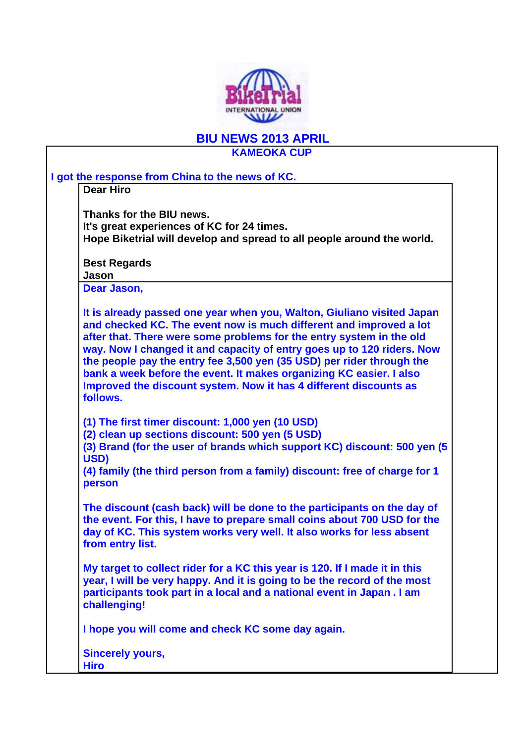

## **BIU NEWS 2013 APRIL KAMEOKA CUP**

| Thanks for the BIU news.<br>It's great experiences of KC for 24 times.<br>Hope Biketrial will develop and spread to all people around the world.<br><b>Best Regards</b><br>Jason<br>Dear Jason,<br>It is already passed one year when you, Walton, Giuliano visited Japan<br>and checked KC. The event now is much different and improved a lot<br>after that. There were some problems for the entry system in the old<br>way. Now I changed it and capacity of entry goes up to 120 riders. Now<br>the people pay the entry fee 3,500 yen (35 USD) per rider through the<br>bank a week before the event. It makes organizing KC easier. I also<br>Improved the discount system. Now it has 4 different discounts as<br>follows.<br>(1) The first timer discount: 1,000 yen (10 USD)<br>(2) clean up sections discount: 500 yen (5 USD)<br>USD)<br>(4) family (the third person from a family) discount: free of charge for 1<br>person<br>The discount (cash back) will be done to the participants on the day of<br>the event. For this, I have to prepare small coins about 700 USD for the<br>day of KC. This system works very well. It also works for less absent<br>from entry list.<br>My target to collect rider for a KC this year is 120. If I made it in this<br>year, I will be very happy. And it is going to be the record of the most<br>participants took part in a local and a national event in Japan. I am<br>challenging!<br>I hope you will come and check KC some day again.<br><b>Sincerely yours,</b> | <b>Dear Hiro</b> |
|----------------------------------------------------------------------------------------------------------------------------------------------------------------------------------------------------------------------------------------------------------------------------------------------------------------------------------------------------------------------------------------------------------------------------------------------------------------------------------------------------------------------------------------------------------------------------------------------------------------------------------------------------------------------------------------------------------------------------------------------------------------------------------------------------------------------------------------------------------------------------------------------------------------------------------------------------------------------------------------------------------------------------------------------------------------------------------------------------------------------------------------------------------------------------------------------------------------------------------------------------------------------------------------------------------------------------------------------------------------------------------------------------------------------------------------------------------------------------------------------------------------------------------|------------------|
|                                                                                                                                                                                                                                                                                                                                                                                                                                                                                                                                                                                                                                                                                                                                                                                                                                                                                                                                                                                                                                                                                                                                                                                                                                                                                                                                                                                                                                                                                                                                  |                  |
|                                                                                                                                                                                                                                                                                                                                                                                                                                                                                                                                                                                                                                                                                                                                                                                                                                                                                                                                                                                                                                                                                                                                                                                                                                                                                                                                                                                                                                                                                                                                  |                  |
| (3) Brand (for the user of brands which support KC) discount: 500 yen (5)                                                                                                                                                                                                                                                                                                                                                                                                                                                                                                                                                                                                                                                                                                                                                                                                                                                                                                                                                                                                                                                                                                                                                                                                                                                                                                                                                                                                                                                        |                  |
|                                                                                                                                                                                                                                                                                                                                                                                                                                                                                                                                                                                                                                                                                                                                                                                                                                                                                                                                                                                                                                                                                                                                                                                                                                                                                                                                                                                                                                                                                                                                  |                  |
|                                                                                                                                                                                                                                                                                                                                                                                                                                                                                                                                                                                                                                                                                                                                                                                                                                                                                                                                                                                                                                                                                                                                                                                                                                                                                                                                                                                                                                                                                                                                  |                  |
|                                                                                                                                                                                                                                                                                                                                                                                                                                                                                                                                                                                                                                                                                                                                                                                                                                                                                                                                                                                                                                                                                                                                                                                                                                                                                                                                                                                                                                                                                                                                  |                  |
|                                                                                                                                                                                                                                                                                                                                                                                                                                                                                                                                                                                                                                                                                                                                                                                                                                                                                                                                                                                                                                                                                                                                                                                                                                                                                                                                                                                                                                                                                                                                  |                  |
|                                                                                                                                                                                                                                                                                                                                                                                                                                                                                                                                                                                                                                                                                                                                                                                                                                                                                                                                                                                                                                                                                                                                                                                                                                                                                                                                                                                                                                                                                                                                  |                  |
|                                                                                                                                                                                                                                                                                                                                                                                                                                                                                                                                                                                                                                                                                                                                                                                                                                                                                                                                                                                                                                                                                                                                                                                                                                                                                                                                                                                                                                                                                                                                  |                  |